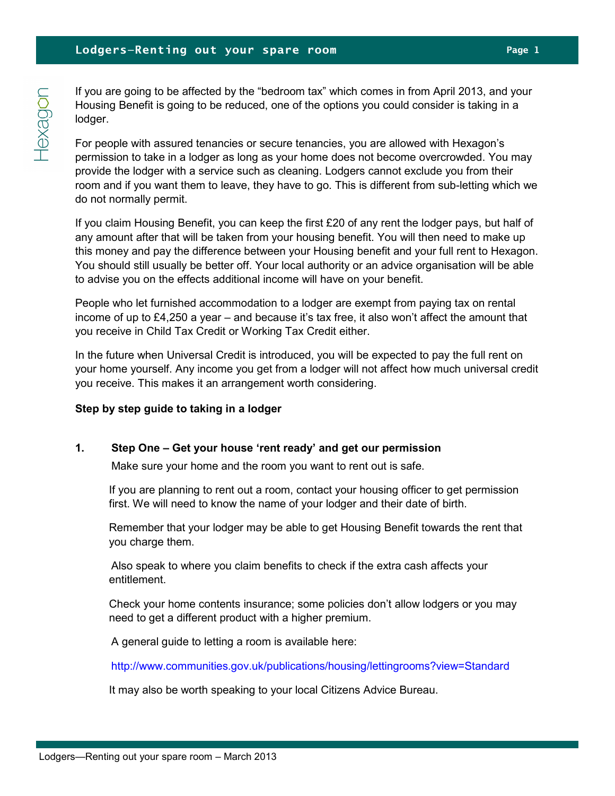If you are going to be affected by the "bedroom tax" which comes in from April 2013, and your Housing Benefit is going to be reduced, one of the options you could consider is taking in a lodger.

For people with assured tenancies or secure tenancies, you are allowed with Hexagon's permission to take in a lodger as long as your home does not become overcrowded. You may provide the lodger with a service such as cleaning. Lodgers cannot exclude you from their room and if you want them to leave, they have to go. This is different from sub-letting which we do not normally permit.

If you claim Housing Benefit, you can keep the first £20 of any rent the lodger pays, but half of any amount after that will be taken from your housing benefit. You will then need to make up this money and pay the difference between your Housing benefit and your full rent to Hexagon. You should still usually be better off. Your local authority or an advice organisation will be able to advise you on the effects additional income will have on your benefit.

People who let furnished accommodation to a lodger are exempt from paying tax on rental income of up to £4,250 a year – and because it's tax free, it also won't affect the amount that you receive in Child Tax Credit or Working Tax Credit either.

In the future when Universal Credit is introduced, you will be expected to pay the full rent on your home yourself. Any income you get from a lodger will not affect how much universal credit you receive. This makes it an arrangement worth considering.

#### Step by step guide to taking in a lodger

## 1. Step One – Get your house 'rent ready' and get our permission

Make sure your home and the room you want to rent out is safe.

 If you are planning to rent out a room, contact your housing officer to get permission first. We will need to know the name of your lodger and their date of birth.

 Remember that your lodger may be able to get Housing Benefit towards the rent that you charge them.

 Also speak to where you claim benefits to check if the extra cash affects your entitlement.

 Check your home contents insurance; some policies don't allow lodgers or you may need to get a different product with a higher premium.

A general guide to letting a room is available here:

http://www.communities.gov.uk/publications/housing/lettingrooms?view=Standard

It may also be worth speaking to your local Citizens Advice Bureau.